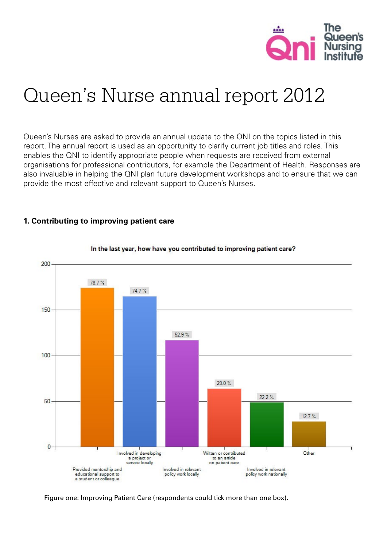

# Queen's Nurse annual report 2012

Queen's Nurses are asked to provide an annual update to the QNI on the topics listed in this report. The annual report is used as an opportunity to clarify current job titles and roles. This enables the QNI to identify appropriate people when requests are received from external organisations for professional contributors, for example the Department of Health. Responses are also invaluable in helping the QNI plan future development workshops and to ensure that we can provide the most effective and relevant support to Queen's Nurses.

### **1. Contributing to improving patient care**



#### In the last year, how have you contributed to improving patient care?

Figure one: Improving Patient Care (respondents could tick more than one box).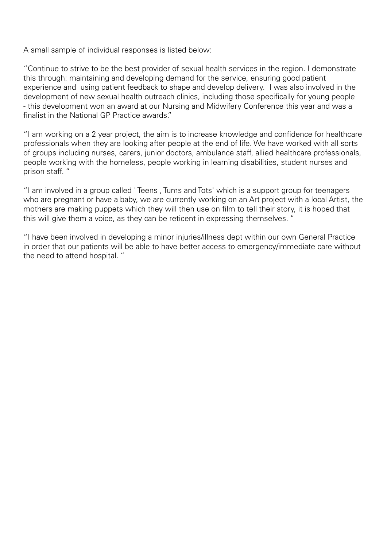A small sample of individual responses is listed below:

"Continue to strive to be the best provider of sexual health services in the region. I demonstrate this through: maintaining and developing demand for the service, ensuring good patient experience and using patient feedback to shape and develop delivery. I was also involved in the development of new sexual health outreach clinics, including those specifically for young people - this development won an award at our Nursing and Midwifery Conference this year and was a finalist in the National GP Practice awards."

"I am working on a 2 year project, the aim is to increase knowledge and confidence for healthcare professionals when they are looking after people at the end of life. We have worked with all sorts of groups including nurses, carers, junior doctors, ambulance staff, allied healthcare professionals, people working with the homeless, people working in learning disabilities, student nurses and prison staff. "

"I am involved in a group called ' Teens , Tums and Tots' which is a support group for teenagers who are pregnant or have a baby, we are currently working on an Art project with a local Artist, the mothers are making puppets which they will then use on film to tell their story, it is hoped that this will give them a voice, as they can be reticent in expressing themselves. "

"I have been involved in developing a minor injuries/illness dept within our own General Practice in order that our patients will be able to have better access to emergency/immediate care without the need to attend hospital. "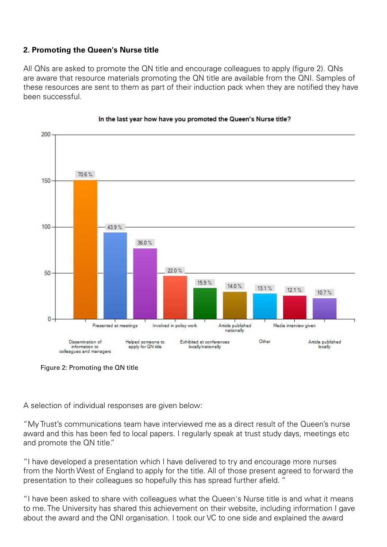## **2. Promoting the Queen's Nurse title**

All QNs are asked to promote the QN title and encourage colleagues to apply (figure 2). QNs are aware that resource materials promoting the QN title are available from the QNI. Samples of these resources are sent to them as part of their induction pack when they are notified they have been successful.



#### In the last year how have you promoted the Queen's Nurse title?

Figure 2: Promoting the QN title

A selection of individual responses are given below:

"My Trust's communications team have interviewed me as a direct result of the Queen's nurse award and this has been fed to local papers. I regularly speak at trust study days, meetings etc and promote the QN title."

"I have developed a presentation which I have delivered to try and encourage more nurses from the North West of England to apply for the title. All of those present agreed to forward the presentation to their colleagues so hopefully this has spread further afield. "

"I have been asked to share with colleagues what the Queen's Nurse title is and what it means to me. The University has shared this achievement on their website, including information I gave about the award and the QNI organisation. I took our VC to one side and explained the award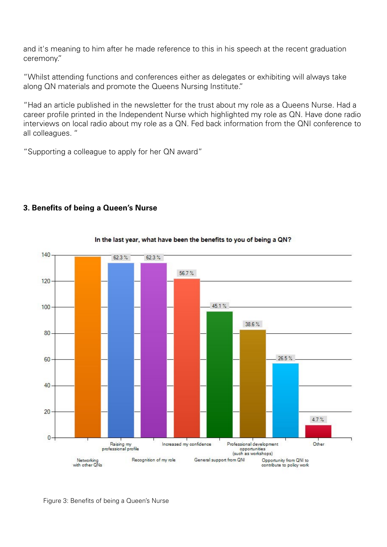and it's meaning to him after he made reference to this in his speech at the recent graduation ceremony."

"Whilst attending functions and conferences either as delegates or exhibiting will always take along QN materials and promote the Queens Nursing Institute."

"Had an article published in the newsletter for the trust about my role as a Queens Nurse. Had a career profile printed in the Independent Nurse which highlighted my role as QN. Have done radio interviews on local radio about my role as a QN. Fed back information from the QNI conference to all colleagues. "

"Supporting a colleague to apply for her QN award"

**3. Benefits of being a Queen's Nurse**



#### In the last year, what have been the benefits to you of being a QN?

Figure 3: Benefits of being a Queen's Nurse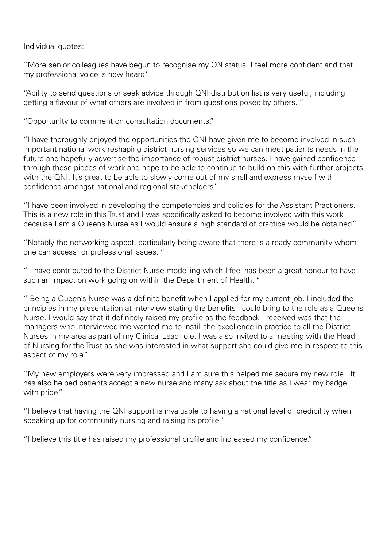Individual quotes:

"More senior colleagues have begun to recognise my QN status. I feel more confident and that my professional voice is now heard."

"Ability to send questions or seek advice through QNI distribution list is very useful, including getting a flavour of what others are involved in from questions posed by others. "

"Opportunity to comment on consultation documents."

"I have thoroughly enjoyed the opportunities the QNI have given me to become involved in such important national work reshaping district nursing services so we can meet patients needs in the future and hopefully advertise the importance of robust district nurses. I have gained confidence through these pieces of work and hope to be able to continue to build on this with further projects with the QNI. It's great to be able to slowly come out of my shell and express myself with confidence amongst national and regional stakeholders."

"I have been involved in developing the competencies and policies for the Assistant Practioners. This is a new role in this Trust and I was specifically asked to become involved with this work because I am a Queens Nurse as I would ensure a high standard of practice would be obtained."

"Notably the networking aspect, particularly being aware that there is a ready community whom one can access for professional issues. "

" I have contributed to the District Nurse modelling which I feel has been a great honour to have such an impact on work going on within the Department of Health. "

" Being a Queen's Nurse was a definite benefit when I applied for my current job. I included the principles in my presentation at Interview stating the benefits I could bring to the role as a Queens Nurse. I would say that it definitely raised my profile as the feedback I received was that the managers who interviewed me wanted me to instill the excellence in practice to all the District Nurses in my area as part of my Clinical Lead role. I was also invited to a meeting with the Head of Nursing for the Trust as she was interested in what support she could give me in respect to this aspect of my role."

"My new employers were very impressed and I am sure this helped me secure my new role .It has also helped patients accept a new nurse and many ask about the title as I wear my badge with pride."

"I believe that having the QNI support is invaluable to having a national level of credibility when speaking up for community nursing and raising its profile "

"I believe this title has raised my professional profile and increased my confidence."